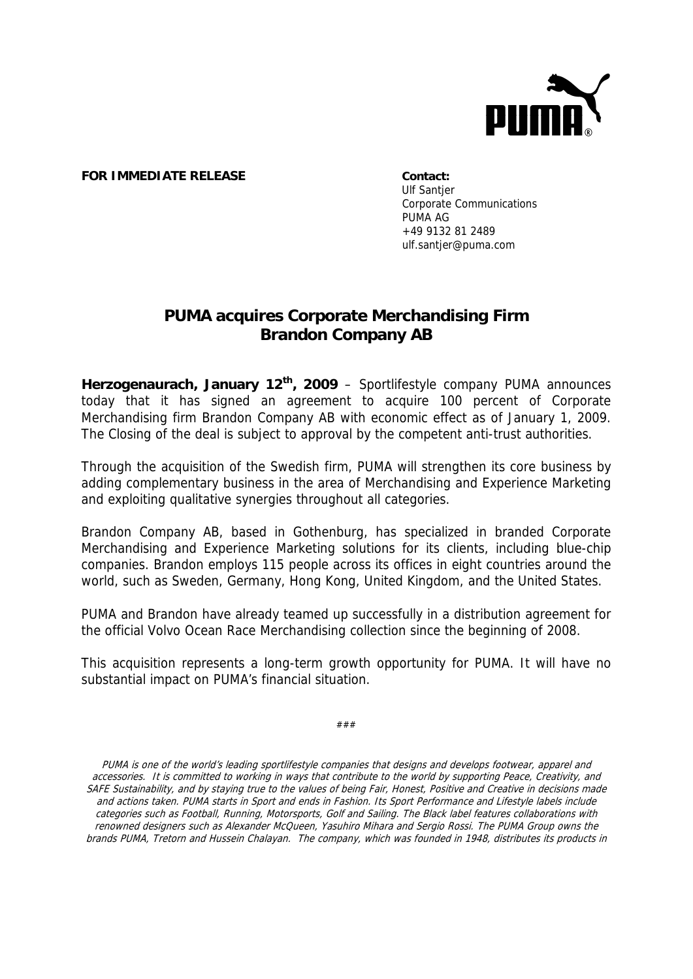

## **FOR IMMEDIATE RELEASE Contact:**

**Ulf Santier** Corporate Communications PUMA AG +49 9132 81 2489 ulf.santjer@puma.com

## **PUMA acquires Corporate Merchandising Firm Brandon Company AB**

**Herzogenaurach, January 12th, 2009** – Sportlifestyle company PUMA announces today that it has signed an agreement to acquire 100 percent of Corporate Merchandising firm Brandon Company AB with economic effect as of January 1, 2009. The Closing of the deal is subject to approval by the competent anti-trust authorities.

Through the acquisition of the Swedish firm, PUMA will strengthen its core business by adding complementary business in the area of Merchandising and Experience Marketing and exploiting qualitative synergies throughout all categories.

Brandon Company AB, based in Gothenburg, has specialized in branded Corporate Merchandising and Experience Marketing solutions for its clients, including blue-chip companies. Brandon employs 115 people across its offices in eight countries around the world, such as Sweden, Germany, Hong Kong, United Kingdom, and the United States.

PUMA and Brandon have already teamed up successfully in a distribution agreement for the official Volvo Ocean Race Merchandising collection since the beginning of 2008.

This acquisition represents a long-term growth opportunity for PUMA. It will have no substantial impact on PUMA's financial situation.

###

PUMA is one of the world's leading sportlifestyle companies that designs and develops footwear, apparel and accessories. It is committed to working in ways that contribute to the world by supporting Peace, Creativity, and SAFE Sustainability, and by staying true to the values of being Fair, Honest, Positive and Creative in decisions made and actions taken. PUMA starts in Sport and ends in Fashion. Its Sport Performance and Lifestyle labels include categories such as Football, Running, Motorsports, Golf and Sailing. The Black label features collaborations with renowned designers such as Alexander McQueen, Yasuhiro Mihara and Sergio Rossi. The PUMA Group owns the brands PUMA, Tretorn and Hussein Chalayan. The company, which was founded in 1948, distributes its products in